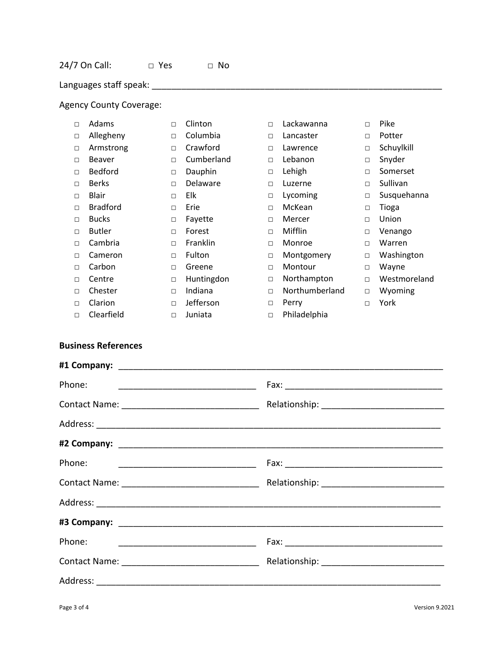Languages staff speak: \_\_\_\_\_\_\_\_\_\_\_\_\_\_\_\_\_\_\_\_\_\_\_\_\_\_\_\_\_\_\_\_\_\_\_\_\_\_\_\_\_\_\_\_\_\_\_\_\_\_\_\_\_\_\_\_\_\_\_

## Agency County Coverage:

| $\Box$ | Adams           | П      | Clinton    | $\Box$ | Lackawanna     | $\Box$ | Pike         |
|--------|-----------------|--------|------------|--------|----------------|--------|--------------|
| $\Box$ | Allegheny       | $\Box$ | Columbia   | $\Box$ | Lancaster      | $\Box$ | Potter       |
| $\Box$ | Armstrong       | $\Box$ | Crawford   | $\Box$ | Lawrence       | $\Box$ | Schuylkill   |
| $\Box$ | <b>Beaver</b>   | $\Box$ | Cumberland | $\Box$ | Lebanon        | $\Box$ | Snyder       |
| $\Box$ | <b>Bedford</b>  | $\Box$ | Dauphin    | $\Box$ | Lehigh         | $\Box$ | Somerset     |
| $\Box$ | <b>Berks</b>    | $\Box$ | Delaware   | $\Box$ | Luzerne        | $\Box$ | Sullivan     |
| $\Box$ | <b>Blair</b>    | $\Box$ | Elk        | $\Box$ | Lycoming       | $\Box$ | Susquehanna  |
| $\Box$ | <b>Bradford</b> | $\Box$ | Erie       | $\Box$ | McKean         | $\Box$ | Tioga        |
| $\Box$ | <b>Bucks</b>    | $\Box$ | Fayette    | $\Box$ | Mercer         | $\Box$ | Union        |
| $\Box$ | <b>Butler</b>   | $\Box$ | Forest     | $\Box$ | Mifflin        | $\Box$ | Venango      |
| $\Box$ | Cambria         | П      | Franklin   | $\Box$ | Monroe         | $\Box$ | Warren       |
| $\Box$ | Cameron         | $\Box$ | Fulton     | $\Box$ | Montgomery     | $\Box$ | Washington   |
| $\Box$ | Carbon          | $\Box$ | Greene     | $\Box$ | Montour        | $\Box$ | Wayne        |
| $\Box$ | Centre          | $\Box$ | Huntingdon | $\Box$ | Northampton    | $\Box$ | Westmoreland |
| $\Box$ | Chester         | П      | Indiana    | $\Box$ | Northumberland | $\Box$ | Wyoming      |
| $\Box$ | Clarion         | П      | Jefferson  | $\Box$ | Perry          | П      | York         |
| $\Box$ | Clearfield      | П      | Juniata    | $\Box$ | Philadelphia   |        |              |

## **Business References**

| Phone: |  |  |  |  |
|--------|--|--|--|--|
|        |  |  |  |  |
|        |  |  |  |  |
|        |  |  |  |  |
|        |  |  |  |  |
|        |  |  |  |  |
|        |  |  |  |  |
|        |  |  |  |  |
|        |  |  |  |  |
|        |  |  |  |  |
|        |  |  |  |  |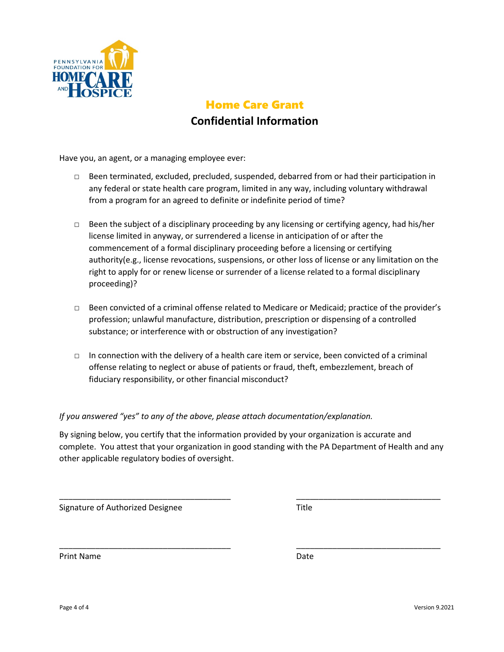

# Home Care Grant **Confidential Information**

Have you, an agent, or a managing employee ever:

- □ Been terminated, excluded, precluded, suspended, debarred from or had their participation in any federal or state health care program, limited in any way, including voluntary withdrawal from a program for an agreed to definite or indefinite period of time?
- $\Box$  Been the subject of a disciplinary proceeding by any licensing or certifying agency, had his/her license limited in anyway, or surrendered a license in anticipation of or after the commencement of a formal disciplinary proceeding before a licensing or certifying authority(e.g., license revocations, suspensions, or other loss of license or any limitation on the right to apply for or renew license or surrender of a license related to a formal disciplinary proceeding)?
- □ Been convicted of a criminal offense related to Medicare or Medicaid; practice of the provider's profession; unlawful manufacture, distribution, prescription or dispensing of a controlled substance; or interference with or obstruction of any investigation?
- □ In connection with the delivery of a health care item or service, been convicted of a criminal offense relating to neglect or abuse of patients or fraud, theft, embezzlement, breach of fiduciary responsibility, or other financial misconduct?

#### *If you answered "yes" to any of the above, please attach documentation/explanation.*

By signing below, you certify that the information provided by your organization is accurate and complete. You attest that your organization in good standing with the PA Department of Health and any other applicable regulatory bodies of oversight.

\_\_\_\_\_\_\_\_\_\_\_\_\_\_\_\_\_\_\_\_\_\_\_\_\_\_\_\_\_\_\_\_\_\_\_\_\_\_ \_\_\_\_\_\_\_\_\_\_\_\_\_\_\_\_\_\_\_\_\_\_\_\_\_\_\_\_\_\_\_\_

\_\_\_\_\_\_\_\_\_\_\_\_\_\_\_\_\_\_\_\_\_\_\_\_\_\_\_\_\_\_\_\_\_\_\_\_\_\_ \_\_\_\_\_\_\_\_\_\_\_\_\_\_\_\_\_\_\_\_\_\_\_\_\_\_\_\_\_\_\_\_

Signature of Authorized Designee

Print Name Date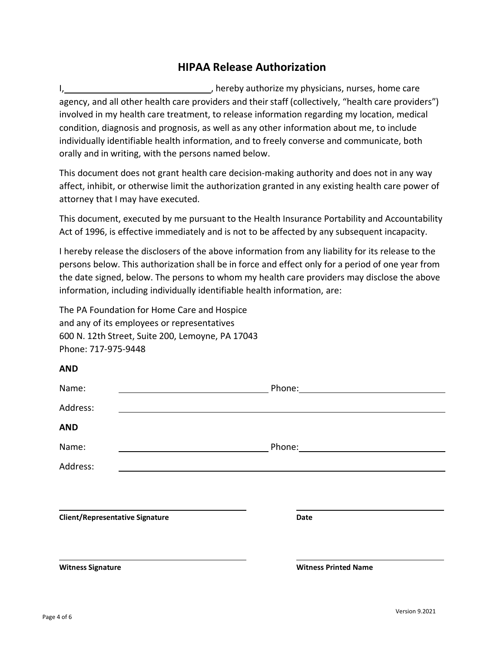## **HIPAA Release Authorization**

I, thereby authorize my physicians, nurses, home care agency, and all other health care providers and their staff (collectively, "health care providers") involved in my health care treatment, to release information regarding my location, medical condition, diagnosis and prognosis, as well as any other information about me, to include individually identifiable health information, and to freely converse and communicate, both orally and in writing, with the persons named below.

This document does not grant health care decision-making authority and does not in any way affect, inhibit, or otherwise limit the authorization granted in any existing health care power of attorney that I may have executed.

This document, executed by me pursuant to the Health Insurance Portability and Accountability Act of 1996, is effective immediately and is not to be affected by any subsequent incapacity.

I hereby release the disclosers of the above information from any liability for its release to the persons below. This authorization shall be in force and effect only for a period of one year from the date signed, below. The persons to whom my health care providers may disclose the above information, including individually identifiable health information, are:

The PA Foundation for Home Care and Hospice and any of its employees or representatives 600 N. 12th Street, Suite 200, Lemoyne, PA 17043 Phone: 717-975-9448

| <b>Witness Signature</b>               | <b>Witness Printed Name</b>     |  |
|----------------------------------------|---------------------------------|--|
| <b>Client/Representative Signature</b> | Date                            |  |
|                                        |                                 |  |
| Address:                               |                                 |  |
| Name:                                  |                                 |  |
| <b>AND</b>                             |                                 |  |
| Address:                               |                                 |  |
| Name:                                  | Phone: <u>www.community.com</u> |  |
| <b>AIVU</b>                            |                                 |  |

**AND**